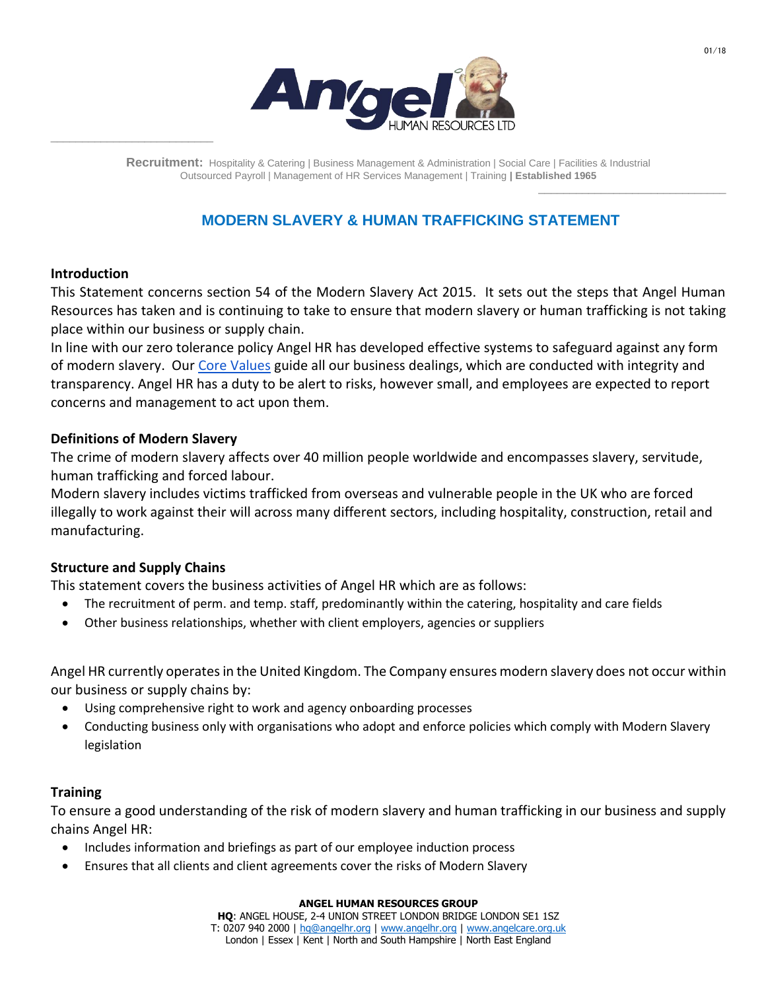

**Recruitment:** Hospitality & Catering | Business Management & Administration | Social Care | Facilities & Industrial Outsourced Payroll | Management of HR Services Management | Training **| Established 1965**

# **MODERN SLAVERY & HUMAN TRAFFICKING STATEMENT**

## **Introduction**

\_\_\_\_\_\_\_\_\_\_\_\_\_\_\_\_\_\_\_\_\_\_\_\_\_\_

This Statement concerns section 54 of the Modern Slavery Act 2015. It sets out the steps that Angel Human Resources has taken and is continuing to take to ensure that modern slavery or human trafficking is not taking place within our business or supply chain.

In line with our zero tolerance policy Angel HR has developed effective systems to safeguard against any form of modern slavery. Our [Core Values](https://www.angelhr.org/about-us/our-purpose-and-values/) guide all our business dealings, which are conducted with integrity and transparency. Angel HR has a duty to be alert to risks, however small, and employees are expected to report concerns and management to act upon them.

## **Definitions of Modern Slavery**

The crime of modern slavery affects over 40 million people worldwide and encompasses slavery, servitude, human trafficking and forced labour.

Modern slavery includes victims trafficked from overseas and vulnerable people in the UK who are forced illegally to work against their will across many different sectors, including hospitality, construction, retail and manufacturing.

# **Structure and Supply Chains**

This statement covers the business activities of Angel HR which are as follows:

- The recruitment of perm. and temp. staff, predominantly within the catering, hospitality and care fields
- Other business relationships, whether with client employers, agencies or suppliers

Angel HR currently operates in the United Kingdom. The Company ensures modern slavery does not occur within our business or supply chains by:

- Using comprehensive right to work and agency onboarding processes
- Conducting business only with organisations who adopt and enforce policies which comply with Modern Slavery legislation

# **Training**

To ensure a good understanding of the risk of modern slavery and human trafficking in our business and supply chains Angel HR:

- Includes information and briefings as part of our employee induction process
- Ensures that all clients and client agreements cover the risks of Modern Slavery

#### **ANGEL HUMAN RESOURCES GROUP**

\_\_\_\_\_\_\_\_\_\_\_\_\_\_\_\_\_\_\_\_\_\_\_\_\_\_\_\_\_\_